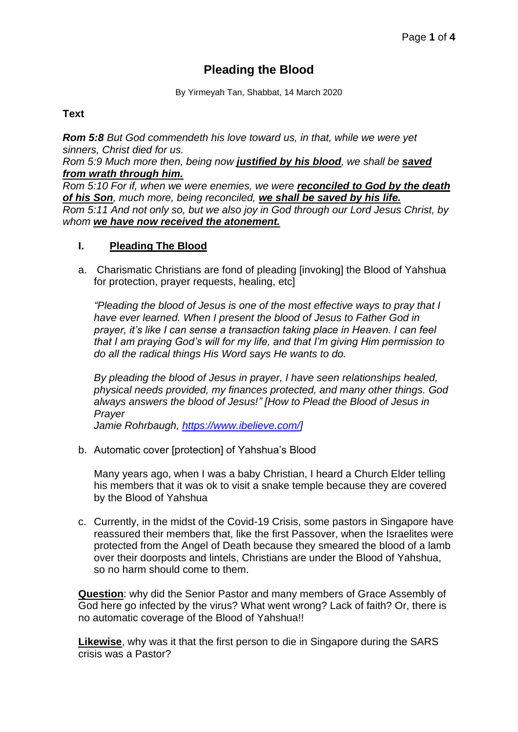# **Pleading the Blood**

By Yirmeyah Tan, Shabbat, 14 March 2020

### **Text**

*Rom 5:8 But God commendeth his love toward us, in that, while we were yet sinners, Christ died for us.* 

*Rom 5:9 Much more then, being now justified by his blood, we shall be saved from wrath through him.* 

*Rom 5:10 For if, when we were enemies, we were reconciled to God by the death of his Son, much more, being reconciled, we shall be saved by his life. Rom 5:11 And not only so, but we also joy in God through our Lord Jesus Christ, by whom we have now received the atonement.*

### **I. Pleading The Blood**

a. Charismatic Christians are fond of pleading [invoking] the Blood of Yahshua for protection, prayer requests, healing, etc]

*"Pleading the blood of Jesus is one of the most effective ways to pray that I have ever learned. When I present the blood of Jesus to Father God in prayer, it's like I can sense a transaction taking place in Heaven. I can feel that I am praying God's will for my life, and that I'm giving Him permission to do all the radical things His Word says He wants to do.*

*By pleading the blood of Jesus in prayer, I have seen relationships healed, physical needs provided, my finances protected, and many other things. God always answers the blood of Jesus!" [How to Plead the Blood of Jesus in Prayer*

*Jamie Rohrbaugh, [https://www.ibelieve.com/\]](https://www.ibelieve.com/)*

b. Automatic cover [protection] of Yahshua's Blood

Many years ago, when I was a baby Christian, I heard a Church Elder telling his members that it was ok to visit a snake temple because they are covered by the Blood of Yahshua

c. Currently, in the midst of the Covid-19 Crisis, some pastors in Singapore have reassured their members that, like the first Passover, when the Israelites were protected from the Angel of Death because they smeared the blood of a lamb over their doorposts and lintels, Christians are under the Blood of Yahshua, so no harm should come to them.

**Question**: why did the Senior Pastor and many members of Grace Assembly of God here go infected by the virus? What went wrong? Lack of faith? Or, there is no automatic coverage of the Blood of Yahshua!!

**Likewise**, why was it that the first person to die in Singapore during the SARS crisis was a Pastor?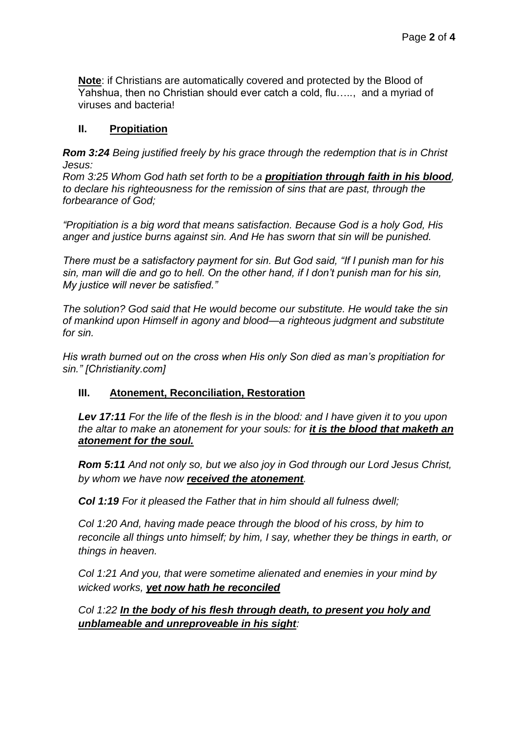**Note**: if Christians are automatically covered and protected by the Blood of Yahshua, then no Christian should ever catch a cold, flu….., and a myriad of viruses and bacteria!

# **II. Propitiation**

*Rom 3:24 Being justified freely by his grace through the redemption that is in Christ Jesus:* 

*Rom 3:25 Whom God hath set forth to be a propitiation through faith in his blood, to declare his righteousness for the remission of sins that are past, through the forbearance of God;*

*"Propitiation is a big word that means satisfaction. Because God is a holy God, His anger and justice burns against sin. And He has sworn that sin will be punished.*

*There must be a satisfactory payment for sin. But God said, "If I punish man for his sin, man will die and go to hell. On the other hand, if I don't punish man for his sin, My justice will never be satisfied."*

*The solution? God said that He would become our substitute. He would take the sin of mankind upon Himself in agony and blood—a righteous judgment and substitute for sin.*

*His wrath burned out on the cross when His only Son died as man's propitiation for sin." [Christianity.com]* 

# **III. Atonement, Reconciliation, Restoration**

*Lev 17:11 For the life of the flesh is in the blood: and I have given it to you upon the altar to make an atonement for your souls: for it is the blood that maketh an atonement for the soul.*

*Rom 5:11 And not only so, but we also joy in God through our Lord Jesus Christ, by whom we have now received the atonement.*

*Col 1:19 For it pleased the Father that in him should all fulness dwell;* 

*Col 1:20 And, having made peace through the blood of his cross, by him to reconcile all things unto himself; by him, I say, whether they be things in earth, or things in heaven.* 

*Col 1:21 And you, that were sometime alienated and enemies in your mind by wicked works, yet now hath he reconciled*

*Col 1:22 In the body of his flesh through death, to present you holy and unblameable and unreproveable in his sight:*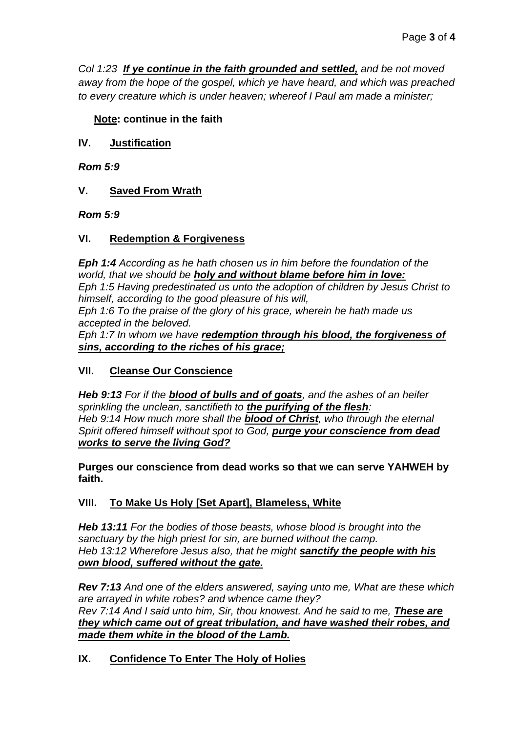*Col 1:23 If ye continue in the faith grounded and settled, and be not moved away from the hope of the gospel, which ye have heard, and which was preached to every creature which is under heaven; whereof I Paul am made a minister;*

# **Note: continue in the faith**

**IV. Justification**

*Rom 5:9*

# **V. Saved From Wrath**

*Rom 5:9*

### **VI. Redemption & Forgiveness**

*Eph 1:4 According as he hath chosen us in him before the foundation of the world, that we should be holy and without blame before him in love: Eph 1:5 Having predestinated us unto the adoption of children by Jesus Christ to himself, according to the good pleasure of his will, Eph 1:6 To the praise of the glory of his grace, wherein he hath made us accepted in the beloved.* 

*Eph 1:7 In whom we have redemption through his blood, the forgiveness of sins, according to the riches of his grace;*

# **VII. Cleanse Our Conscience**

*Heb 9:13 For if the blood of bulls and of goats, and the ashes of an heifer sprinkling the unclean, sanctifieth to the purifying of the flesh: Heb 9:14 How much more shall the blood of Christ, who through the eternal Spirit offered himself without spot to God, purge your conscience from dead works to serve the living God?*

**Purges our conscience from dead works so that we can serve YAHWEH by faith.**

# **VIII. To Make Us Holy [Set Apart], Blameless, White**

*Heb 13:11 For the bodies of those beasts, whose blood is brought into the sanctuary by the high priest for sin, are burned without the camp. Heb 13:12 Wherefore Jesus also, that he might sanctify the people with his own blood, suffered without the gate.*

*Rev 7:13 And one of the elders answered, saying unto me, What are these which are arrayed in white robes? and whence came they? Rev 7:14 And I said unto him, Sir, thou knowest. And he said to me, These are they which came out of great tribulation, and have washed their robes, and made them white in the blood of the Lamb.*

# **IX. Confidence To Enter The Holy of Holies**